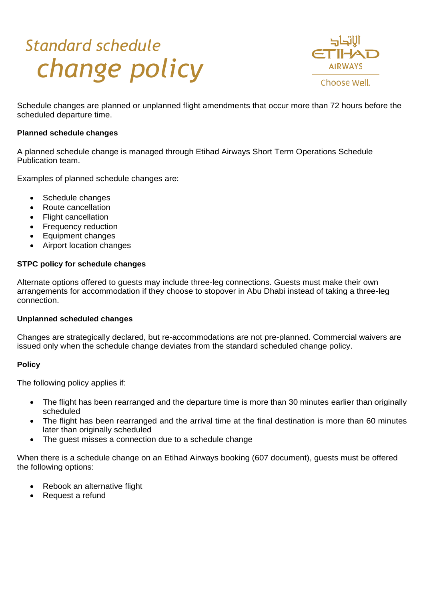# *Standard schedule change policy*



Schedule changes are planned or unplanned flight amendments that occur more than 72 hours before the scheduled departure time.

## **Planned schedule changes**

A planned schedule change is managed through Etihad Airways Short Term Operations Schedule Publication team.

Examples of planned schedule changes are:

- Schedule changes
- Route cancellation
- Flight cancellation
- Frequency reduction
- Equipment changes
- Airport location changes

#### **STPC policy for schedule changes**

Alternate options offered to guests may include three-leg connections. Guests must make their own arrangements for accommodation if they choose to stopover in Abu Dhabi instead of taking a three-leg connection.

#### **Unplanned scheduled changes**

Changes are strategically declared, but re-accommodations are not pre-planned. Commercial waivers are issued only when the schedule change deviates from the standard scheduled change policy.

#### **Policy**

The following policy applies if:

- The flight has been rearranged and the departure time is more than 30 minutes earlier than originally scheduled
- The flight has been rearranged and the arrival time at the final destination is more than 60 minutes later than originally scheduled
- The guest misses a connection due to a schedule change

When there is a schedule change on an Etihad Airways booking (607 document), guests must be offered the following options:

- Rebook an alternative flight
- Request a refund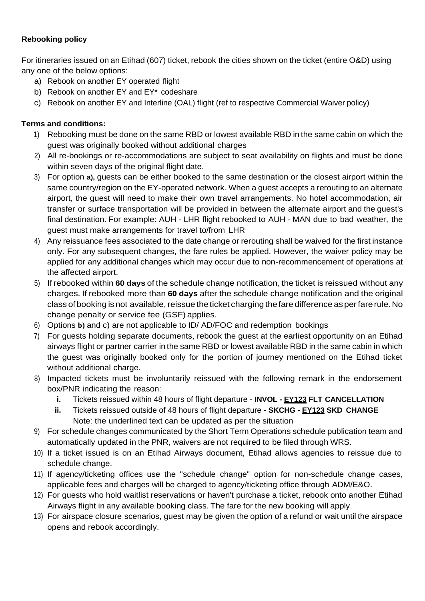## **Rebooking policy**

For itineraries issued on an Etihad (607) ticket, rebook the cities shown on the ticket (entire O&D) using any one of the below options:

- a) Rebook on another EY operated flight
- b) Rebook on another EY and EY\* codeshare
- c) Rebook on another EY and Interline (OAL) flight (ref to respective Commercial Waiver policy)

## **Terms and conditions:**

- 1) Rebooking must be done on the same RBD or lowest available RBD in the same cabin on which the guest was originally booked without additional charges
- 2) All re-bookings or re-accommodations are subject to seat availability on flights and must be done within seven days of the original flight date.
- 3) For option **a),** guests can be either booked to the same destination or the closest airport within the same country/region on the EY-operated network. When a guest accepts a rerouting to an alternate airport, the guest will need to make their own travel arrangements. No hotel accommodation, air transfer or surface transportation will be provided in between the alternate airport and the guest's final destination. For example: AUH - LHR flight rebooked to AUH - MAN due to bad weather, the guest must make arrangements for travel to/from LHR
- 4) Any reissuance fees associated to the date change or rerouting shall be waived for the first instance only. For any subsequent changes, the fare rules be applied. However, the waiver policy may be applied for any additional changes which may occur due to non-recommencement of operations at the affected airport.
- 5) If rebooked within **60 days** of the schedule change notification, the ticket is reissued without any charges. If rebooked more than **60 days** after the schedule change notification and the original class ofbooking isnot available, reissue theticket charging thefare difference asperfarerule.No change penalty or service fee (GSF) applies.
- 6) Options **b)** and c) are not applicable to ID/ AD/FOC and redemption bookings
- 7) For guests holding separate documents, rebook the guest at the earliest opportunity on an Etihad airways flight or partner carrier in the same RBD or lowest available RBD in the same cabin in which the guest was originally booked only for the portion of journey mentioned on the Etihad ticket without additional charge.
- 8) Impacted tickets must be involuntarily reissued with the following remark in the endorsement box/PNR indicating the reason:
	- **i.** Tickets reissued within 48 hours of flight departure **INVOL - EY123 FLT CANCELLATION**
	- **ii.** Tickets reissued outside of 48 hours of flight departure **SKCHG - EY123 SKD CHANGE** Note: the underlined text can be updated as per the situation
- 9) For schedule changes communicated by the Short Term Operations schedule publication team and automatically updated in the PNR, waivers are not required to be filed through WRS.
- 10) If a ticket issued is on an Etihad Airways document, Etihad allows agencies to reissue due to schedule change.
- 11) If agency/ticketing offices use the "schedule change" option for non-schedule change cases, applicable fees and charges will be charged to agency/ticketing office through ADM/E&O.
- 12) For guests who hold waitlist reservations or haven't purchase a ticket, rebook onto another Etihad Airways flight in any available booking class. The fare for the new booking will apply.
- 13) For airspace closure scenarios, guest may be given the option of a refund or wait until the airspace opens and rebook accordingly.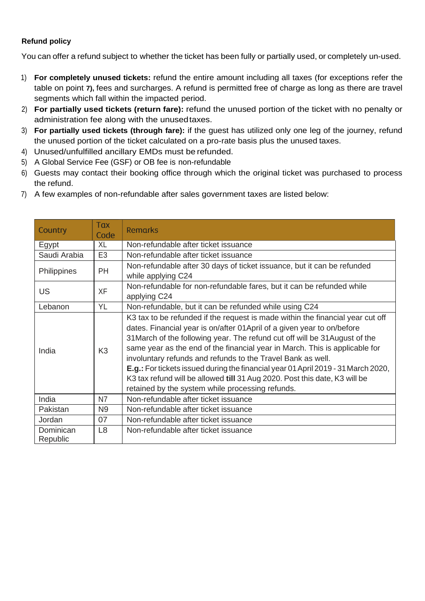## **Refund policy**

You can offer a refund subject to whether the ticket has been fully or partially used, or completely un-used.

- 1) **For completely unused tickets:** refund the entire amount including all taxes (for exceptions refer the table on point **7),** fees and surcharges. A refund is permitted free of charge as long as there are travel segments which fall within the impacted period.
- 2) **For partially used tickets (return fare):** refund the unused portion of the ticket with no penalty or administration fee along with the unusedtaxes.
- 3) **For partially used tickets (through fare):** if the guest has utilized only one leg of the journey, refund the unused portion of the ticket calculated on a pro-rate basis plus the unused taxes.
- 4) Unused/unfulfilled ancillary EMDs must be refunded.
- 5) A Global Service Fee (GSF) or OB fee is non-refundable
- 6) Guests may contact their booking office through which the original ticket was purchased to process the refund.
- 7) A few examples of non-refundable after sales government taxes are listed below:

| Country               | Tax<br>Code    | <b>Remarks</b>                                                                                                                                                                                                                                                                                                                                                                                                                                                                                                                                                                                               |
|-----------------------|----------------|--------------------------------------------------------------------------------------------------------------------------------------------------------------------------------------------------------------------------------------------------------------------------------------------------------------------------------------------------------------------------------------------------------------------------------------------------------------------------------------------------------------------------------------------------------------------------------------------------------------|
| Egypt                 | XL             | Non-refundable after ticket issuance                                                                                                                                                                                                                                                                                                                                                                                                                                                                                                                                                                         |
| Saudi Arabia          | E <sub>3</sub> | Non-refundable after ticket issuance                                                                                                                                                                                                                                                                                                                                                                                                                                                                                                                                                                         |
| Philippines           | <b>PH</b>      | Non-refundable after 30 days of ticket issuance, but it can be refunded<br>while applying C24                                                                                                                                                                                                                                                                                                                                                                                                                                                                                                                |
| US                    | XF             | Non-refundable for non-refundable fares, but it can be refunded while<br>applying C24                                                                                                                                                                                                                                                                                                                                                                                                                                                                                                                        |
| Lebanon               | YL             | Non-refundable, but it can be refunded while using C24                                                                                                                                                                                                                                                                                                                                                                                                                                                                                                                                                       |
| India                 | K <sub>3</sub> | K3 tax to be refunded if the request is made within the financial year cut off<br>dates. Financial year is on/after 01April of a given year to on/before<br>31 March of the following year. The refund cut off will be 31 August of the<br>same year as the end of the financial year in March. This is applicable for<br>involuntary refunds and refunds to the Travel Bank as well.<br>E.g.: For tickets issued during the financial year 01 April 2019 - 31 March 2020,<br>K3 tax refund will be allowed till 31 Aug 2020. Post this date, K3 will be<br>retained by the system while processing refunds. |
| India                 | N7             | Non-refundable after ticket issuance                                                                                                                                                                                                                                                                                                                                                                                                                                                                                                                                                                         |
| Pakistan              | N <sub>9</sub> | Non-refundable after ticket issuance                                                                                                                                                                                                                                                                                                                                                                                                                                                                                                                                                                         |
| Jordan                | 07             | Non-refundable after ticket issuance                                                                                                                                                                                                                                                                                                                                                                                                                                                                                                                                                                         |
| Dominican<br>Republic | L <sub>8</sub> | Non-refundable after ticket issuance                                                                                                                                                                                                                                                                                                                                                                                                                                                                                                                                                                         |